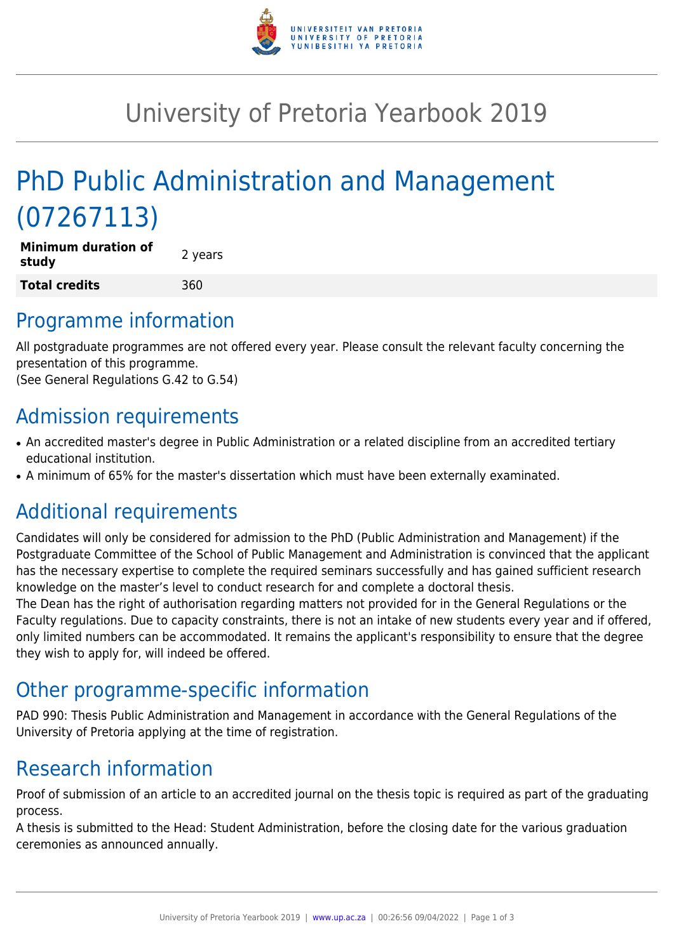

## University of Pretoria Yearbook 2019

# PhD Public Administration and Management (07267113)

| <b>Minimum duration of</b><br>study | 2 years |
|-------------------------------------|---------|
| Total credits                       | 360     |

#### Programme information

All postgraduate programmes are not offered every year. Please consult the relevant faculty concerning the presentation of this programme.

(See General Regulations G.42 to G.54)

## Admission requirements

- An accredited master's degree in Public Administration or a related discipline from an accredited tertiary educational institution.
- A minimum of 65% for the master's dissertation which must have been externally examinated.

## Additional requirements

Candidates will only be considered for admission to the PhD (Public Administration and Management) if the Postgraduate Committee of the School of Public Management and Administration is convinced that the applicant has the necessary expertise to complete the required seminars successfully and has gained sufficient research knowledge on the master's level to conduct research for and complete a doctoral thesis.

The Dean has the right of authorisation regarding matters not provided for in the General Regulations or the Faculty regulations. Due to capacity constraints, there is not an intake of new students every year and if offered, only limited numbers can be accommodated. It remains the applicant's responsibility to ensure that the degree they wish to apply for, will indeed be offered.

#### Other programme-specific information

PAD 990: Thesis Public Administration and Management in accordance with the General Regulations of the University of Pretoria applying at the time of registration.

## Research information

Proof of submission of an article to an accredited journal on the thesis topic is required as part of the graduating process.

A thesis is submitted to the Head: Student Administration, before the closing date for the various graduation ceremonies as announced annually.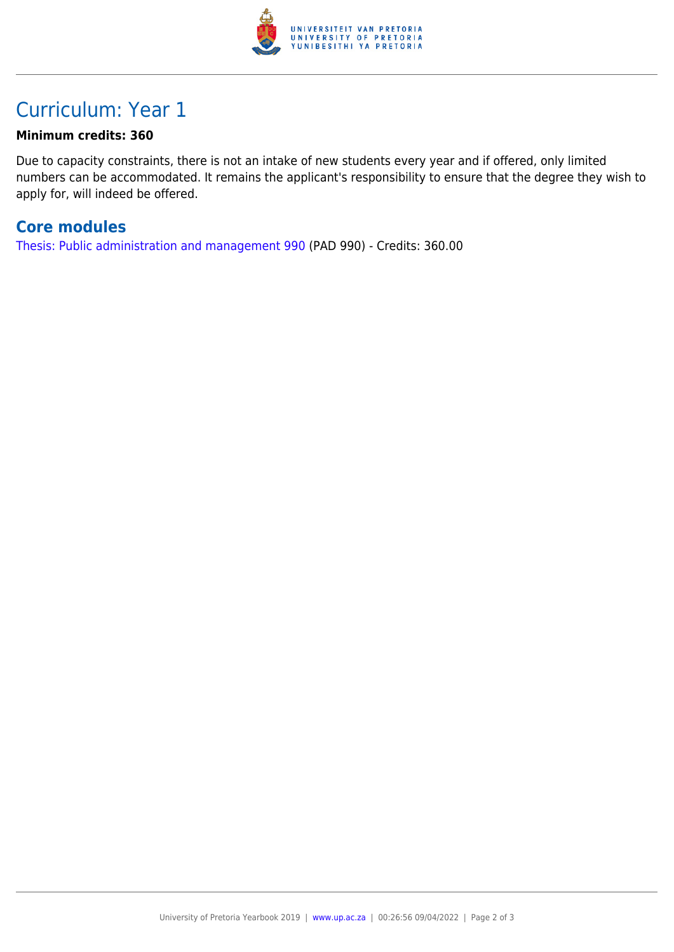

#### Curriculum: Year 1

#### **Minimum credits: 360**

Due to capacity constraints, there is not an intake of new students every year and if offered, only limited numbers can be accommodated. It remains the applicant's responsibility to ensure that the degree they wish to apply for, will indeed be offered.

#### **Core modules**

[Thesis: Public administration and management 990](https://www.up.ac.za/faculty-of-education/yearbooks/2019/modules/view/PAD 990) (PAD 990) - Credits: 360.00